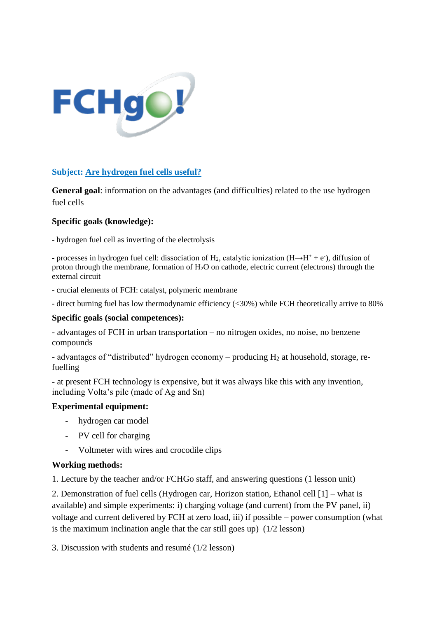

### **Subject: Are hydrogen fuel cells useful?**

**General goal**: information on the advantages (and difficulties) related to the use hydrogen fuel cells

### **Specific goals (knowledge):**

- hydrogen fuel cell as inverting of the electrolysis

- processes in hydrogen fuel cell: dissociation of  $H_2$ , catalytic ionization ( $H \rightarrow H^+ + e^-$ ), diffusion of proton through the membrane, formation of  $H_2O$  on cathode, electric current (electrons) through the external circuit

- crucial elements of FCH: catalyst, polymeric membrane

- direct burning fuel has low thermodynamic efficiency (<30%) while FCH theoretically arrive to 80%

### **Specific goals (social competences):**

- advantages of FCH in urban transportation – no nitrogen oxides, no noise, no benzene compounds

- advantages of "distributed" hydrogen economy – producing  $H_2$  at household, storage, refuelling

- at present FCH technology is expensive, but it was always like this with any invention, including Volta's pile (made of Ag and Sn)

### **Experimental equipment:**

- hydrogen car model
- PV cell for charging
- Voltmeter with wires and crocodile clips

### **Working methods:**

1. Lecture by the teacher and/or FCHGo staff, and answering questions (1 lesson unit)

2. Demonstration of fuel cells (Hydrogen car, Horizon station, Ethanol cell [1] – what is available) and simple experiments: i) charging voltage (and current) from the PV panel, ii) voltage and current delivered by FCH at zero load, iii) if possible – power consumption (what is the maximum inclination angle that the car still goes up) (1/2 lesson)

3. Discussion with students and resumé (1/2 lesson)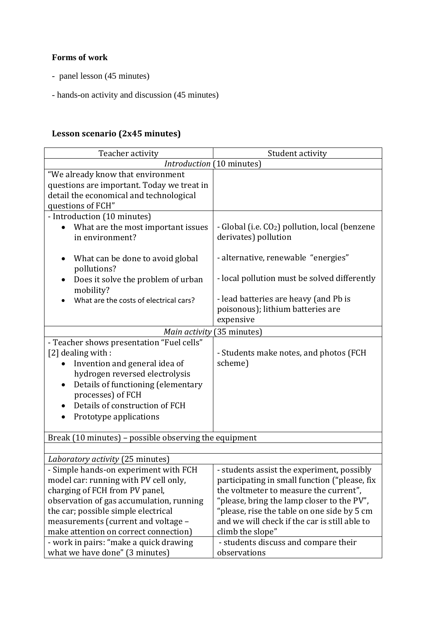# **Forms of work**

- panel lesson (45 minutes)
- hands-on activity and discussion (45 minutes)

## **Lesson scenario (2x45 minutes)**

| Teacher activity                                                                                                                                                                                                                                                                    | Student activity                                                                                                                                                                                                                                                                                        |
|-------------------------------------------------------------------------------------------------------------------------------------------------------------------------------------------------------------------------------------------------------------------------------------|---------------------------------------------------------------------------------------------------------------------------------------------------------------------------------------------------------------------------------------------------------------------------------------------------------|
| Introduction (10 minutes)                                                                                                                                                                                                                                                           |                                                                                                                                                                                                                                                                                                         |
| "We already know that environment<br>questions are important. Today we treat in<br>detail the economical and technological<br>questions of FCH"                                                                                                                                     |                                                                                                                                                                                                                                                                                                         |
| - Introduction (10 minutes)                                                                                                                                                                                                                                                         |                                                                                                                                                                                                                                                                                                         |
| What are the most important issues<br>in environment?                                                                                                                                                                                                                               | - Global (i.e. CO <sub>2</sub> ) pollution, local (benzene<br>derivates) pollution                                                                                                                                                                                                                      |
| What can be done to avoid global<br>٠<br>pollutions?                                                                                                                                                                                                                                | - alternative, renewable "energies"                                                                                                                                                                                                                                                                     |
| Does it solve the problem of urban<br>$\bullet$<br>mobility?                                                                                                                                                                                                                        | - local pollution must be solved differently                                                                                                                                                                                                                                                            |
| What are the costs of electrical cars?                                                                                                                                                                                                                                              | - lead batteries are heavy (and Pb is<br>poisonous); lithium batteries are<br>expensive                                                                                                                                                                                                                 |
| (35 minutes)<br>Main activity                                                                                                                                                                                                                                                       |                                                                                                                                                                                                                                                                                                         |
| - Teacher shows presentation "Fuel cells"<br>[2] dealing with :<br>Invention and general idea of<br>hydrogen reversed electrolysis<br>Details of functioning (elementary<br>٠<br>processes) of FCH<br>Details of construction of FCH<br>Prototype applications<br>٠                 | - Students make notes, and photos (FCH<br>scheme)                                                                                                                                                                                                                                                       |
| Break (10 minutes) - possible observing the equipment                                                                                                                                                                                                                               |                                                                                                                                                                                                                                                                                                         |
|                                                                                                                                                                                                                                                                                     |                                                                                                                                                                                                                                                                                                         |
| Laboratory activity (25 minutes)                                                                                                                                                                                                                                                    |                                                                                                                                                                                                                                                                                                         |
| - Simple hands-on experiment with FCH<br>model car: running with PV cell only,<br>charging of FCH from PV panel,<br>observation of gas accumulation, running<br>the car; possible simple electrical<br>measurements (current and voltage -<br>make attention on correct connection) | - students assist the experiment, possibly<br>participating in small function ("please, fix<br>the voltmeter to measure the current",<br>"please, bring the lamp closer to the PV",<br>"please, rise the table on one side by 5 cm<br>and we will check if the car is still able to<br>climb the slope" |
| - work in pairs: "make a quick drawing<br>what we have done" (3 minutes)                                                                                                                                                                                                            | - students discuss and compare their<br>observations                                                                                                                                                                                                                                                    |